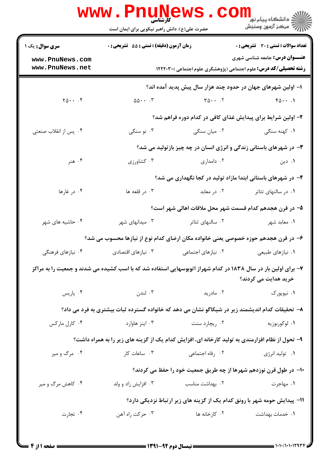|                                                                                                                                       | <b>WWW.PNUNEWS</b><br>کارشناسی<br>حضرت علی(ع): دانش راهبر نیکویی برای ایمان است |                                            |                                                                                                                   |  |  |
|---------------------------------------------------------------------------------------------------------------------------------------|---------------------------------------------------------------------------------|--------------------------------------------|-------------------------------------------------------------------------------------------------------------------|--|--|
| <b>سری سوال :</b> یک ۱                                                                                                                | زمان آزمون (دقیقه) : تستی : 55 آتشریحی : 0                                      |                                            | <b>تعداد سوالات : تستی : 30 ٪ تشریحی : 0</b>                                                                      |  |  |
| www.PnuNews.com<br>www.PnuNews.net                                                                                                    |                                                                                 |                                            | <b>عنـــوان درس:</b> جامعه شناسی شهری<br><b>رشته تحصیلی/کد درس:</b> علوم اجتماعی (پژوهشگری علوم اجتماعی )۲۲۲۰۳۰ ا |  |  |
|                                                                                                                                       | ا– اولین شهرهای جهان در حدود چند هزار سال پیش پدید آمده اند؟                    |                                            |                                                                                                                   |  |  |
| $Y_0 \cdots Y_n$                                                                                                                      | $\Delta \Delta \cdot \cdot \cdot$                                               | $\tau \Delta \cdot \cdot \cdot \cdot \tau$ | $f_0 \cdots$                                                                                                      |  |  |
|                                                                                                                                       |                                                                                 |                                            | ۲- اولین شرایط برای پیدایش غذای کافی در کدام دوره فراهم شد؟                                                       |  |  |
| ۰۴ پس از انقلاب صنعتی                                                                                                                 | ۰۳ نو سنگی                                                                      | ۰۲ میان سنگی                               | ۰۱ کهنه سنگی                                                                                                      |  |  |
|                                                                                                                                       |                                                                                 |                                            | ۳- در شهرهای باستانی زندگی و انرژی انسان در چه چیز بازتولید می شد؟                                                |  |  |
| ۰۴ هنر                                                                                                                                | ۰۳ کشاورزی                                                                      | ۰۲ دامداری                                 | ۰۱ دین                                                                                                            |  |  |
|                                                                                                                                       |                                                                                 |                                            | ۴- در شهرهای باستانی ابتدا مازاد تولید در کجا نگهداری می شد؟                                                      |  |  |
| ۰۴ در غارها                                                                                                                           | ۰۳ در قلعه ها                                                                   | ۰۲ در معابد                                | ۰۱ در سالنهای تئاتر                                                                                               |  |  |
|                                                                                                                                       |                                                                                 |                                            | ۵– در قرن هجدهم کدام قسمت شهر محل ملاقات اهالی شهر است؟                                                           |  |  |
| ۰۴ حاشیه های شهر                                                                                                                      | ۰۳ میدانهای شهر                                                                 | ۰۲ سالنهای تئاتر                           | ۰۱ معابد شهر                                                                                                      |  |  |
| ۶– در قرن هجدهم حوزه خصوصی یعنی خانواده مکان ارضای کدام نوع از نیازها محسوب می شد؟                                                    |                                                                                 |                                            |                                                                                                                   |  |  |
| ۰۴ نیازهای فرهنگی                                                                                                                     | ۰۳ نیازهای اقتصادی                                                              | ۰۲ نیازهای اجتما <i>ع</i> ی                | ۰۱ نیازهای طبیعی                                                                                                  |  |  |
| ۷– برای اولین بار در سال ۱۸۳۸ در کدام شهراز اتوبوسهایی استفاده شد که با اسب کشیده می شدند و جمعیت را به مراکز<br>خرید هدایت می کردند؟ |                                                                                 |                                            |                                                                                                                   |  |  |
| ۰۴ پاریس                                                                                                                              | ۰۳ لندن                                                                         | ۰۲ مادرید                                  | ۰۱ نیویورک                                                                                                        |  |  |
| ۸– تحقیقات کدام اندیشمند زیر در شیکاگو نشان می دهد که خانواده گسترده ثبات بیشتری به فرد می داد؟                                       |                                                                                 |                                            |                                                                                                                   |  |  |
| ۰۴ کارل مارکس                                                                                                                         | ۰۳ اینز هاوارد                                                                  | ۰۲ ریچارد سنت                              | ۰۱ لوکوربوزیه                                                                                                     |  |  |
| ۹- تحول از نظام افزارمندی به تولید کارخانه ای، افزایش کدام یک از گزینه های زیر را به همراه داشت؟                                      |                                                                                 |                                            |                                                                                                                   |  |  |
| ۰۴ مرگ و میر                                                                                                                          | ۰۳ ساعات کار                                                                    | ۰۲ رفاه اجتماعی                            | ۰۱ تولید انرژی                                                                                                    |  |  |
| ∙ا− در طول قرن نوزدهم شهرها از چه طریق جمعیت خود را حفظ می کردند؟                                                                     |                                                                                 |                                            |                                                                                                                   |  |  |
| ۰۴ کاهش مرگ و میر                                                                                                                     | ۰۳ افزایش زاد و ولد                                                             | ٠٢ بهداشت مناسب                            | ۰۱ مهاجرت                                                                                                         |  |  |
|                                                                                                                                       | 11- پیدایش حومه شهر با رونق کدام یک از گزینه های زیر ارتباط نزدیکی دارد؟        |                                            |                                                                                                                   |  |  |
| ۰۴ تجارت                                                                                                                              | ۰۳ حرکت راه آهن                                                                 | ۰۲ کارخانه ها                              | ۰۱ خدمات بهداشت                                                                                                   |  |  |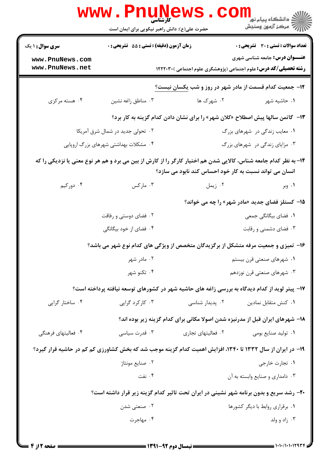|                                                                                                                                                                             | WWW.Pnung                                               | حضرت علی(ع): دانش راهبر نیکویی برای ایمان است                                                 | دانشکاه پیام نور<br>ا∛ مرکز آزمون وسنجش        |  |  |
|-----------------------------------------------------------------------------------------------------------------------------------------------------------------------------|---------------------------------------------------------|-----------------------------------------------------------------------------------------------|------------------------------------------------|--|--|
| <b>سری سوال : ۱ یک</b>                                                                                                                                                      | زمان آزمون (دقیقه) : تستی : 55 تشریحی : 0               |                                                                                               | <b>تعداد سوالات : تستی : 30 - تشریحی : 0</b>   |  |  |
| www.PnuNews.com<br>www.PnuNews.net                                                                                                                                          |                                                         | <b>رشته تحصیلی/کد درس:</b> علوم اجتماعی (پژوهشگری علوم اجتماعی )۲۲۲۰۳۰ ا                      | <b>عنـــوان درس:</b> جامعه شناسی شهری          |  |  |
|                                                                                                                                                                             | ۱۲- جمعیت کدام قسمت از مادر شهر در روز و شب یکسان نیست؟ |                                                                                               |                                                |  |  |
| ۰۴ هسته مرکزی                                                                                                                                                               | ۰۳ مناطق زاغه نشين                                      | ۰۲ شهرک ها                                                                                    | ۰۱ حاشیه شهر                                   |  |  |
|                                                                                                                                                                             |                                                         | ۱۳- گاتمن سالها پیش اصطلاح «کلان شهر» را برای نشان دادن کدام گزینه به کار برد؟                |                                                |  |  |
| ۰۲ تحولی جدید در شمال شرق آمریکا                                                                                                                                            |                                                         |                                                                                               | ۰۱ معایب زندگی در شهرهای بزرگ                  |  |  |
| ۰۴ مشکلات بهداشتی شهرهای بزرگ اروپایی                                                                                                                                       |                                                         |                                                                                               | ۰۳ مزایای زندگی در شهرهای بزرگ                 |  |  |
| ۱۴– به نظر کدام جامعه شناس، کالایی شدن هم اختیار کارگر را از کارش از بین می برد و هم هر نوع معنی یا نزدیکی را که<br>انسان می تواند نسبت به کار خود احساس کند نابود می سازد؟ |                                                         |                                                                                               |                                                |  |  |
| ۰۴ دورکیم                                                                                                                                                                   | ۰۳ مارکس                                                | ۰۲ زیمل                                                                                       | ۰۱ وبر                                         |  |  |
|                                                                                                                                                                             |                                                         |                                                                                               | ۱۵– کستلز فضای جدید «مادر شهر» را چه می خواند؟ |  |  |
|                                                                                                                                                                             | ۰۲ فضای دوستی و رفاقت                                   |                                                                                               | ۰۱ فضای بیگانگی جمعی                           |  |  |
|                                                                                                                                                                             | ۰۴ فضای از خود بیگانگی                                  |                                                                                               | ۰۳ فضای دشمنی و رقابت                          |  |  |
|                                                                                                                                                                             |                                                         | ۱۶- تمیزی و جمعیت مرفه متشکل از برگزیدگان متخصص از ویژگی های کدام نوع شهر می باشد؟            |                                                |  |  |
|                                                                                                                                                                             | ۰۲ مادر شهر                                             |                                                                                               | ۰۱ شهرهای صنعتی قرن بیستم                      |  |  |
|                                                                                                                                                                             | ۰۴ تکنو شهر                                             |                                                                                               | ۰۳ شهرهای صنعتی قرن نوزدهم                     |  |  |
|                                                                                                                                                                             |                                                         | ۱۷- پیتر لوید از کدام دیدگاه به بررسی زاغه های حاشیه شهر در کشورهای توسعه نیافته پرداخته است؟ |                                                |  |  |
| ۰۴ ساختار گرایی                                                                                                                                                             | ۰۳ کارکرد گرایی                                         | ۰۲ پدیدار شناسی                                                                               | ۰۱ کنش متقابل نمادین                           |  |  |
|                                                                                                                                                                             |                                                         | ۱۸- شهرهای ایران قبل از مدرنیزه شدن اصولا مکانی برای کدام گزینه زیر بوده اند؟                 |                                                |  |  |
| ۰۴ فعالیتهای فرهنگی                                                                                                                                                         | ۰۳ قدرت سیاسی                                           | ۰۲ فعالیتهای تجاری                                                                            | ۰۱ تولید صنایع بومی                            |  |  |
| ۱۹- در ایران از سال ۱۳۳۲ تا ۱۳۴۰، افزایش اهمیت کدام گزینه موجب شد که بخش کشاورزی کم کم در حاشیه قرار گیرد؟                                                                  |                                                         |                                                                                               |                                                |  |  |
|                                                                                                                                                                             | ۰۲ صنايع مونتاژ                                         |                                                                                               | ۰۱ تجارت خارجي                                 |  |  |
|                                                                                                                                                                             | ۰۴ نفت                                                  |                                                                                               | ۰۳ دامداری و صنایع وابسته به آن                |  |  |
|                                                                                                                                                                             |                                                         | ۲۰- رشد سریع و بدون برنامه شهر نشینی در ایران تحت تاثیر کدام گزینه زیر قرار داشته است؟        |                                                |  |  |
|                                                                                                                                                                             | ۰۲ صنعتی شدن                                            |                                                                                               | ۰۱ برقراری روابط با دیگر کشورها                |  |  |
|                                                                                                                                                                             | ۰۴ مهاجرت                                               |                                                                                               | ۰۳ زاد و ولد                                   |  |  |
|                                                                                                                                                                             |                                                         |                                                                                               |                                                |  |  |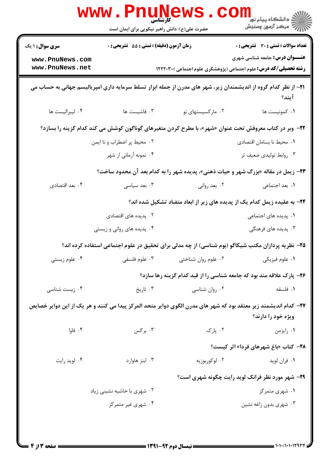|                                                                                                                                  | <b>WWW.Pnugge</b>                                                    | حضرت علی(ع): دانش راهبر نیکویی برای ایمان است | (د دانشکاه پيام نور<br>(د دانشکاه پيام نور)<br>(د مرکز آزمون وسنجش                                                |  |  |
|----------------------------------------------------------------------------------------------------------------------------------|----------------------------------------------------------------------|-----------------------------------------------|-------------------------------------------------------------------------------------------------------------------|--|--|
| <b>سری سوال : ۱ یک</b>                                                                                                           | زمان آزمون (دقیقه) : تستی : 55 آتشریحی : 0                           |                                               | <b>تعداد سوالات : تستی : 30 ٪ تشریحی : 0</b>                                                                      |  |  |
| www.PnuNews.com<br>www.PnuNews.net                                                                                               |                                                                      |                                               | <b>عنـــوان درس:</b> جامعه شناسی شهری<br><b>رشته تحصیلی/کد درس:</b> علوم اجتماعی (پژوهشگری علوم اجتماعی )۲۲۲۰۳۰ ا |  |  |
| <b>۳۱</b> – از نظر کدام گروه از اندیشمندان زیر، شهر های مدرن از جمله ابزار تسلط سرمایه داری امپریالیسم جهانی به حساب می<br>آيند؟ |                                                                      |                                               |                                                                                                                   |  |  |
| ۰۴ ليبراليست ها                                                                                                                  | ٠٣ فاشيست ها                                                         | ۰۲ مارکسیستهای نو                             | ٠١ كمونيست ها                                                                                                     |  |  |
| <b>۲۲</b> - وبر در کتاب معروفش تحت عنوان «شهر»، با مطرح کردن متغیرهای گوناگون کوشش می کند کدام گزینه را بسازد؟                   |                                                                      |                                               |                                                                                                                   |  |  |
|                                                                                                                                  | ٠٢ محيط پر اضطراب و نا ايمن                                          |                                               | ٠١. محيط نا بسامان اقتصادى                                                                                        |  |  |
|                                                                                                                                  | ۰۴ نمونه آرمانی از شهر                                               |                                               | ۰۳ روابط تولیدی ضعیف تر                                                                                           |  |  |
| <b>۲۳</b> - زیمل در مقاله «بزرگ شهر و حیات ذهنی»، پدیده شهر را به کدام بعد آن محدود ساخت؟                                        |                                                                      |                                               |                                                                                                                   |  |  |
| ۰۴ بعد اقتصادي                                                                                                                   | ۰۳ بعد سیاسی                                                         | ۰۲ بعد روانی                                  | ٠١. بعد اجتماعي                                                                                                   |  |  |
|                                                                                                                                  |                                                                      |                                               | ۲۴- به عقیده زیمل کدام یک از پدیده های زیر از ابعاد متضاد تشکیل شده اند؟                                          |  |  |
|                                                                                                                                  | ۰۲ پدیده های اقتصادی                                                 |                                               | ۰۱ پدیده های اجتماعی                                                                                              |  |  |
|                                                                                                                                  | ۰۴ پدیده های روانی و زیستی                                           |                                               | ۰۳ پدیده های فرهنگی                                                                                               |  |  |
|                                                                                                                                  |                                                                      |                                               | ۲۵– نظریه پردازان مکتب شیکاگو (بوم شناسی) از چه مدلی برای تحقیق در علوم اجتماعی استفاده کرده اند؟                 |  |  |
| ۰۴ علوم زیستی                                                                                                                    | ۰۳ علوم فلسفى                                                        | ۰۲ علوم روان شناختی                           | ۰۱ علوم فیزیکی                                                                                                    |  |  |
|                                                                                                                                  | ۲۶- پارک علاقه مند بود که جامعه شناسی را از قید کدام گزینه رها سازد؟ |                                               |                                                                                                                   |  |  |
| ۰۴ زیست شناسی                                                                                                                    | ۰۳ تاریخ                                                             | ۰۲ روان شناسی                                 | ٠١ فلسفه                                                                                                          |  |  |
| ۲۷– کدام اندیشمند زیر معتقد بود که شهر های مدرن الگوی دوایر متحد المرکز پیدا می کنند و هر یک از این دوایر خصایص                  |                                                                      |                                               |                                                                                                                   |  |  |
|                                                                                                                                  |                                                                      |                                               | ویژه خود را دارند؟                                                                                                |  |  |
| ۰۴ فاوا                                                                                                                          | ۰۳ برگس                                                              | ۰۲ پارک                                       | ۰۱ رایزمن                                                                                                         |  |  |
|                                                                                                                                  |                                                                      |                                               | <b>۲۸- کتاب «باغ شهرهای فردا» اثر کیست؟</b>                                                                       |  |  |
| ۰۴ لوید رایت                                                                                                                     | ۰۳ ابنز هاوارد                                                       | ۰۲ لوکوربوزیه                                 | ۰۱ فران لويد                                                                                                      |  |  |
| <b>۲۹</b> - شهر مورد نظر فرانک لوید رایت چگونه شهری است؟                                                                         |                                                                      |                                               |                                                                                                                   |  |  |
|                                                                                                                                  | ۰۲ شهری با حاشیه نشینی زیاد                                          |                                               | ۰۱ شهری متمرکز                                                                                                    |  |  |
|                                                                                                                                  | ۰۴ شهری غیر متمرکز                                                   |                                               | ۰۳ شهری بدون زاغه نشین                                                                                            |  |  |
|                                                                                                                                  |                                                                      |                                               |                                                                                                                   |  |  |
|                                                                                                                                  |                                                                      |                                               |                                                                                                                   |  |  |